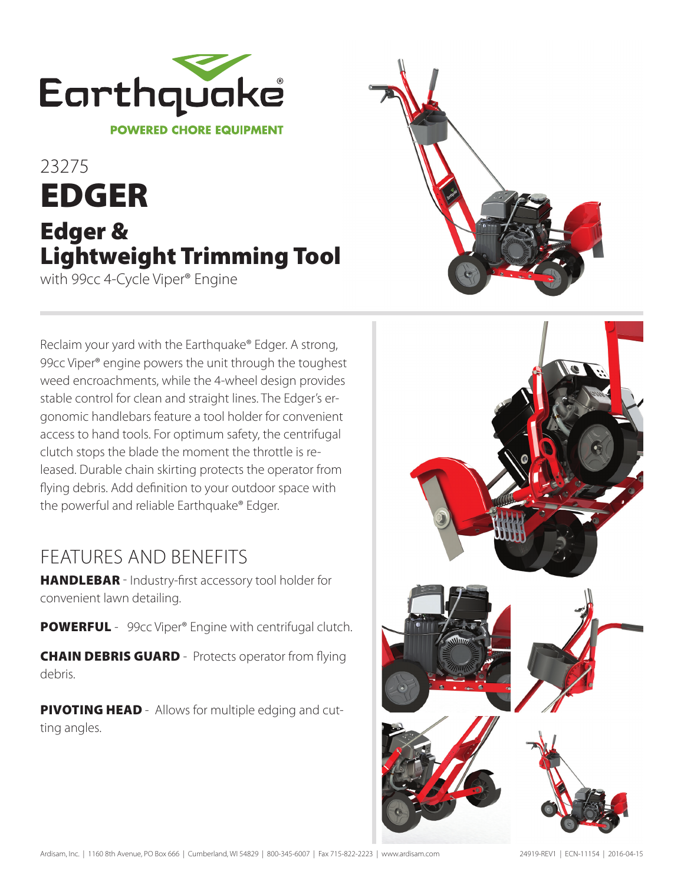

## 23275 EDGER Edger & Lightweight Trimming Tool with 99cc 4-Cycle Viper® Engine



Reclaim your yard with the Earthquake® Edger. A strong, 99cc Viper® engine powers the unit through the toughest weed encroachments, while the 4-wheel design provides stable control for clean and straight lines. The Edger's ergonomic handlebars feature a tool holder for convenient access to hand tools. For optimum safety, the centrifugal clutch stops the blade the moment the throttle is released. Durable chain skirting protects the operator from flying debris. Add definition to your outdoor space with the powerful and reliable Earthquake® Edger.

## ļ FEATURES AND BENEFITS

HANDLEBAR - Industry-first accessory tool holder for convenient lawn detailing.

POWERFUL - 99cc Viper® Engine with centrifugal clutch.

**CHAIN DEBRIS GUARD** - Protects operator from flying debris.

**PIVOTING HEAD** - Allows for multiple edging and cutting angles.